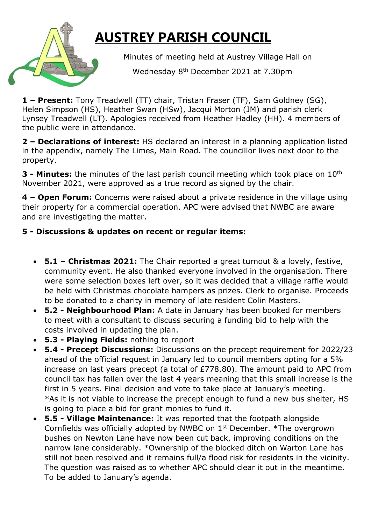## **AUSTREY PARISH COUNCIL**

Minutes of meeting held at Austrey Village Hall on

Wednesday 8<sup>th</sup> December 2021 at 7.30pm

**1 – Present:** Tony Treadwell (TT) chair, Tristan Fraser (TF), Sam Goldney (SG), Helen Simpson (HS), Heather Swan (HSw), Jacqui Morton (JM) and parish clerk Lynsey Treadwell (LT). Apologies received from Heather Hadley (HH). 4 members of the public were in attendance.

**2 – Declarations of interest:** HS declared an interest in a planning application listed in the appendix, namely The Limes, Main Road. The councillor lives next door to the property.

**3 - Minutes:** the minutes of the last parish council meeting which took place on 10th November 2021, were approved as a true record as signed by the chair.

**4 – Open Forum:** Concerns were raised about a private residence in the village using their property for a commercial operation. APC were advised that NWBC are aware and are investigating the matter.

## **5 - Discussions & updates on recent or regular items:**

- **5.1 – Christmas 2021:** The Chair reported a great turnout & a lovely, festive, community event. He also thanked everyone involved in the organisation. There were some selection boxes left over, so it was decided that a village raffle would be held with Christmas chocolate hampers as prizes. Clerk to organise. Proceeds to be donated to a charity in memory of late resident Colin Masters.
- **5.2 - Neighbourhood Plan:** A date in January has been booked for members to meet with a consultant to discuss securing a funding bid to help with the costs involved in updating the plan.
- **5.3 - Playing Fields:** nothing to report
- **5.4 - Precept Discussions:** Discussions on the precept requirement for 2022/23 ahead of the official request in January led to council members opting for a 5% increase on last years precept (a total of £778.80). The amount paid to APC from council tax has fallen over the last 4 years meaning that this small increase is the first in 5 years. Final decision and vote to take place at January's meeting. \*As it is not viable to increase the precept enough to fund a new bus shelter, HS is going to place a bid for grant monies to fund it.
- **5.5 - Village Maintenance:** It was reported that the footpath alongside Cornfields was officially adopted by NWBC on 1st December. \*The overgrown bushes on Newton Lane have now been cut back, improving conditions on the narrow lane considerably. \*Ownership of the blocked ditch on Warton Lane has still not been resolved and it remains full/a flood risk for residents in the vicinity. The question was raised as to whether APC should clear it out in the meantime. To be added to January's agenda.